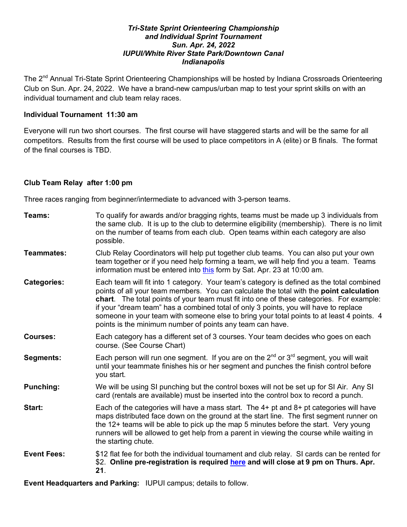#### *Tri-State Sprint Orienteering Championship and Individual Sprint Tournament Sun. Apr. 24, 2022 IUPUI/White River State Park/Downtown Canal Indianapolis*

The 2nd Annual Tri-State Sprint Orienteering Championships will be hosted by Indiana Crossroads Orienteering Club on Sun. Apr. 24, 2022. We have a brand-new campus/urban map to test your sprint skills on with an individual tournament and club team relay races.

### **Individual Tournament 11:30 am**

Everyone will run two short courses. The first course will have staggered starts and will be the same for all competitors. Results from the first course will be used to place competitors in A (elite) or B finals. The format of the final courses is TBD.

### **Club Team Relay after 1:00 pm**

Three races ranging from beginner/intermediate to advanced with 3-person teams.

| Teams:             | To qualify for awards and/or bragging rights, teams must be made up 3 individuals from<br>the same club. It is up to the club to determine eligibility (membership). There is no limit<br>on the number of teams from each club. Open teams within each category are also<br>possible.                                                                                                                                                                                                                                             |
|--------------------|------------------------------------------------------------------------------------------------------------------------------------------------------------------------------------------------------------------------------------------------------------------------------------------------------------------------------------------------------------------------------------------------------------------------------------------------------------------------------------------------------------------------------------|
| Teammates:         | Club Relay Coordinators will help put together club teams. You can also put your own<br>team together or if you need help forming a team, we will help find you a team. Teams<br>information must be entered into this form by Sat. Apr. 23 at 10:00 am.                                                                                                                                                                                                                                                                           |
| <b>Categories:</b> | Each team will fit into 1 category. Your team's category is defined as the total combined<br>points of all your team members. You can calculate the total with the point calculation<br>chart. The total points of your team must fit into one of these categories. For example:<br>if your "dream team" has a combined total of only 3 points, you will have to replace<br>someone in your team with someone else to bring your total points to at least 4 points. 4<br>points is the minimum number of points any team can have. |
| <b>Courses:</b>    | Each category has a different set of 3 courses. Your team decides who goes on each<br>course. (See Course Chart)                                                                                                                                                                                                                                                                                                                                                                                                                   |
| Segments:          | Each person will run one segment. If you are on the $2^{nd}$ or $3^{rd}$ segment, you will wait<br>until your teammate finishes his or her segment and punches the finish control before<br>you start.                                                                                                                                                                                                                                                                                                                             |
| <b>Punching:</b>   | We will be using SI punching but the control boxes will not be set up for SI Air. Any SI<br>card (rentals are available) must be inserted into the control box to record a punch.                                                                                                                                                                                                                                                                                                                                                  |
| Start:             | Each of the categories will have a mass start. The $4+$ pt and $8+$ pt categories will have<br>maps distributed face down on the ground at the start line. The first segment runner on<br>the 12+ teams will be able to pick up the map 5 minutes before the start. Very young<br>runners will be allowed to get help from a parent in viewing the course while waiting in<br>the starting chute.                                                                                                                                  |
| <b>Event Fees:</b> | \$12 flat fee for both the individual tournament and club relay. SI cards can be rented for<br>\$2. Online pre-registration is required here and will close at 9 pm on Thurs. Apr.<br>21.                                                                                                                                                                                                                                                                                                                                          |

**Event Headquarters and Parking:** IUPUI campus; details to follow.